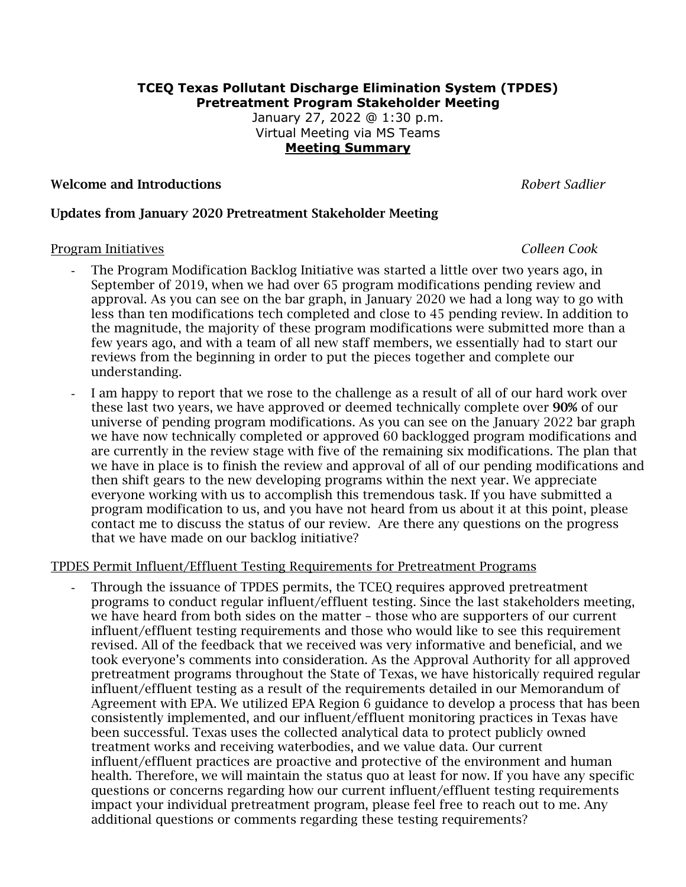### **TCEQ Texas Pollutant Discharge Elimination System (TPDES) Pretreatment Program Stakeholder Meeting**

January 27, 2022 @ 1:30 p.m. Virtual Meeting via MS Teams **Meeting Summary**

## Welcome and Introductions *Robert Sadlier*

### Updates from January 2020 Pretreatment Stakeholder Meeting

### Program Initiatives *Colleen Cook*

- The Program Modification Backlog Initiative was started a little over two years ago, in September of 2019, when we had over 65 program modifications pending review and approval. As you can see on the bar graph, in January 2020 we had a long way to go with less than ten modifications tech completed and close to 45 pending review. In addition to the magnitude, the majority of these program modifications were submitted more than a few years ago, and with a team of all new staff members, we essentially had to start our reviews from the beginning in order to put the pieces together and complete our understanding.
- I am happy to report that we rose to the challenge as a result of all of our hard work over these last two years, we have approved or deemed technically complete over 90% of our universe of pending program modifications. As you can see on the January 2022 bar graph we have now technically completed or approved 60 backlogged program modifications and are currently in the review stage with five of the remaining six modifications. The plan that we have in place is to finish the review and approval of all of our pending modifications and then shift gears to the new developing programs within the next year. We appreciate everyone working with us to accomplish this tremendous task. If you have submitted a program modification to us, and you have not heard from us about it at this point, please contact me to discuss the status of our review. Are there any questions on the progress that we have made on our backlog initiative?

### TPDES Permit Influent/Effluent Testing Requirements for Pretreatment Programs

- Through the issuance of TPDES permits, the TCEQ requires approved pretreatment programs to conduct regular influent/effluent testing. Since the last stakeholders meeting, we have heard from both sides on the matter – those who are supporters of our current influent/effluent testing requirements and those who would like to see this requirement revised. All of the feedback that we received was very informative and beneficial, and we took everyone's comments into consideration. As the Approval Authority for all approved pretreatment programs throughout the State of Texas, we have historically required regular influent/effluent testing as a result of the requirements detailed in our Memorandum of Agreement with EPA. We utilized EPA Region 6 guidance to develop a process that has been consistently implemented, and our influent/effluent monitoring practices in Texas have been successful. Texas uses the collected analytical data to protect publicly owned treatment works and receiving waterbodies, and we value data. Our current influent/effluent practices are proactive and protective of the environment and human health. Therefore, we will maintain the status quo at least for now. If you have any specific questions or concerns regarding how our current influent/effluent testing requirements impact your individual pretreatment program, please feel free to reach out to me. Any additional questions or comments regarding these testing requirements?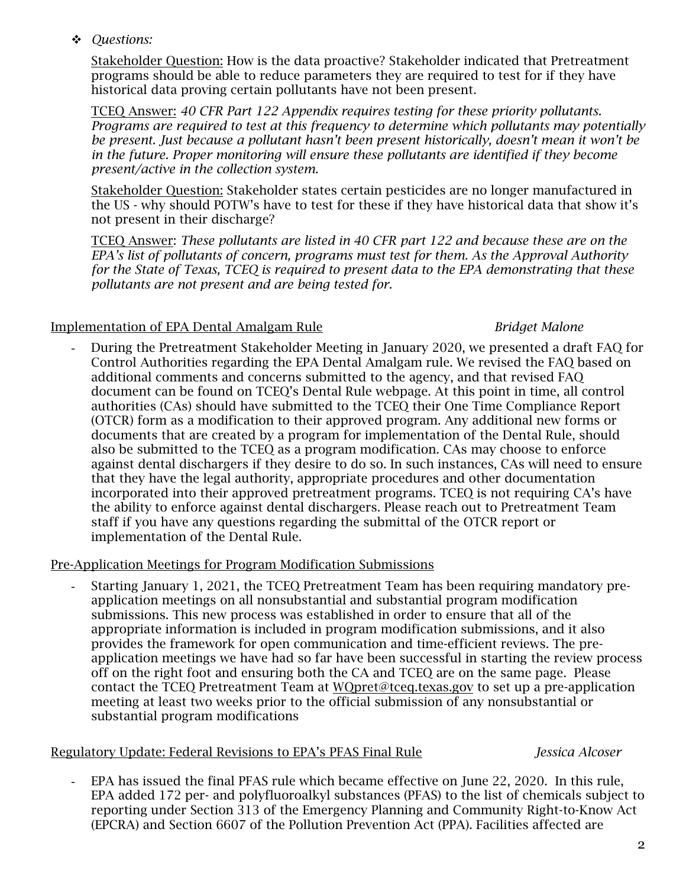*Questions:*

Stakeholder Question: How is the data proactive? Stakeholder indicated that Pretreatment programs should be able to reduce parameters they are required to test for if they have historical data proving certain pollutants have not been present.

TCEQ Answer: *40 CFR Part 122 Appendix requires testing for these priority pollutants. Programs are required to test at this frequency to determine which pollutants may potentially be present. Just because a pollutant hasn't been present historically, doesn't mean it won't be in the future. Proper monitoring will ensure these pollutants are identified if they become present/active in the collection system.* 

Stakeholder Question: Stakeholder states certain pesticides are no longer manufactured in the US - why should POTW's have to test for these if they have historical data that show it's not present in their discharge?

TCEQ Answer: *These pollutants are listed in 40 CFR part 122 and because these are on the EPA's list of pollutants of concern, programs must test for them. As the Approval Authority for the State of Texas, TCEQ is required to present data to the EPA demonstrating that these pollutants are not present and are being tested for.*

# Implementation of EPA Dental Amalgam Rule *Bridget Malone*

- During the Pretreatment Stakeholder Meeting in January 2020, we presented a draft FAQ for Control Authorities regarding the EPA Dental Amalgam rule. We revised the FAQ based on additional comments and concerns submitted to the agency, and that revised FAQ document can be found on TCEQ's Dental Rule webpage. At this point in time, all control authorities (CAs) should have submitted to the TCEQ their One Time Compliance Report (OTCR) form as a modification to their approved program. Any additional new forms or documents that are created by a program for implementation of the Dental Rule, should also be submitted to the TCEQ as a program modification. CAs may choose to enforce against dental dischargers if they desire to do so. In such instances, CAs will need to ensure that they have the legal authority, appropriate procedures and other documentation incorporated into their approved pretreatment programs. TCEQ is not requiring CA's have the ability to enforce against dental dischargers. Please reach out to Pretreatment Team staff if you have any questions regarding the submittal of the OTCR report or implementation of the Dental Rule.

# Pre-Application Meetings for Program Modification Submissions

- Starting January 1, 2021, the TCEQ Pretreatment Team has been requiring mandatory preapplication meetings on all nonsubstantial and substantial program modification submissions. This new process was established in order to ensure that all of the appropriate information is included in program modification submissions, and it also provides the framework for open communication and time-efficient reviews. The preapplication meetings we have had so far have been successful in starting the review process off on the right foot and ensuring both the CA and TCEQ are on the same page. Please contact the TCEQ Pretreatment Team at [WQpret@tceq.texas.gov](mailto:WQpret@tceq.texas.gov) to set up a pre-application meeting at least two weeks prior to the official submission of any nonsubstantial or substantial program modifications

# Regulatory Update: Federal Revisions to EPA's PFAS Final Rule *Jessica Alcoser*

EPA has issued the final PFAS rule which became effective on June 22, 2020. In this rule, EPA added 172 per- and polyfluoroalkyl substances (PFAS) to the list of chemicals subject to reporting under Section 313 of the Emergency Planning and Community Right-to-Know Act (EPCRA) and Section 6607 of the Pollution Prevention Act (PPA). Facilities affected are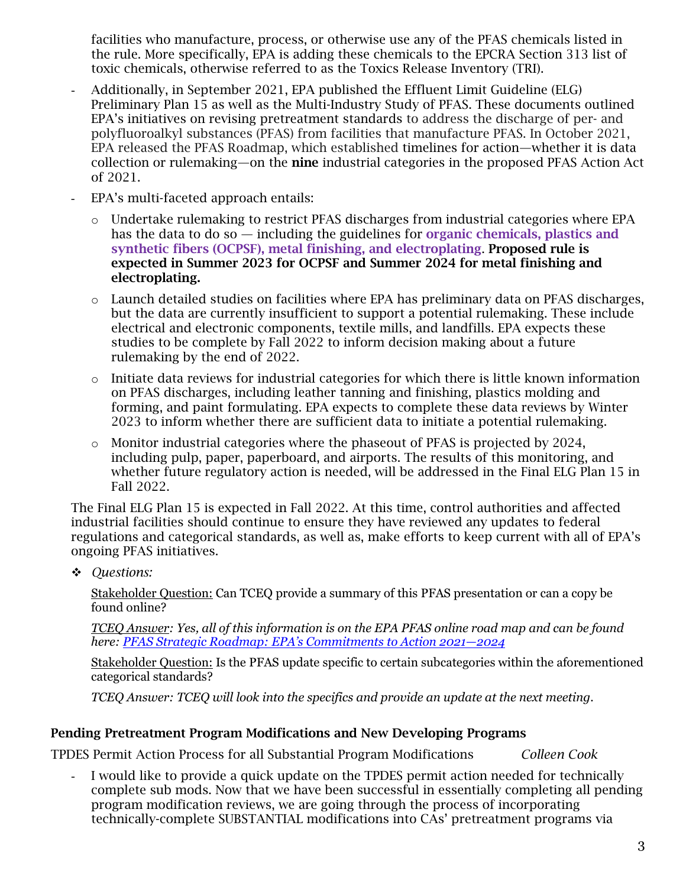facilities who manufacture, process, or otherwise use any of the PFAS chemicals listed in the rule. More specifically, EPA is adding these chemicals to the EPCRA Section 313 list of toxic chemicals, otherwise referred to as the Toxics Release Inventory (TRI).

- Additionally, in September 2021, EPA published the Effluent Limit Guideline (ELG) Preliminary Plan 15 as well as the Multi-Industry Study of PFAS. These documents outlined EPA's initiatives on revising pretreatment standards to address the discharge of per- and polyfluoroalkyl substances (PFAS) from facilities that manufacture PFAS. In October 2021, EPA released the PFAS Roadmap, which established timelines for action—whether it is data collection or rulemaking—on the **nine** industrial categories in the proposed PFAS Action Act of 2021.
- EPA's multi-faceted approach entails:
	- $\circ$  Undertake rulemaking to restrict PFAS discharges from industrial categories where EPA has the data to do so — including the guidelines for organic chemicals, plastics and synthetic fibers (OCPSF), metal finishing, and electroplating. Proposed rule is expected in Summer 2023 for OCPSF and Summer 2024 for metal finishing and electroplating.
	- $\circ$  Launch detailed studies on facilities where EPA has preliminary data on PFAS discharges, but the data are currently insufficient to support a potential rulemaking. These include electrical and electronic components, textile mills, and landfills. EPA expects these studies to be complete by Fall 2022 to inform decision making about a future rulemaking by the end of 2022.
	- $\circ$  Initiate data reviews for industrial categories for which there is little known information on PFAS discharges, including leather tanning and finishing, plastics molding and forming, and paint formulating. EPA expects to complete these data reviews by Winter 2023 to inform whether there are sufficient data to initiate a potential rulemaking.
	- o Monitor industrial categories where the phaseout of PFAS is projected by 2024, including pulp, paper, paperboard, and airports. The results of this monitoring, and whether future regulatory action is needed, will be addressed in the Final ELG Plan 15 in Fall 2022.

The Final ELG Plan 15 is expected in Fall 2022. At this time, control authorities and affected industrial facilities should continue to ensure they have reviewed any updates to federal regulations and categorical standards, as well as, make efforts to keep current with all of EPA's ongoing PFAS initiatives.

*Questions:*

Stakeholder Question: Can TCEQ provide a summary of this PFAS presentation or can a copy be found online?

*TCEQ Answer: Yes, all of this information is on the EPA PFAS online road map and can be found here: [PFAS Strategic Roadmap: EPA's Commitments to Action 2021—2024](https://www.epa.gov/system/files/documents/2021-10/pfas-roadmap_final-508.pdf)*

Stakeholder Question: Is the PFAS update specific to certain subcategories within the aforementioned categorical standards?

*TCEQ Answer: TCEQ will look into the specifics and provide an update at the next meeting.*

# Pending Pretreatment Program Modifications and New Developing Programs

TPDES Permit Action Process for all Substantial Program Modifications *Colleen Cook*

I would like to provide a quick update on the TPDES permit action needed for technically complete sub mods. Now that we have been successful in essentially completing all pending program modification reviews, we are going through the process of incorporating technically-complete SUBSTANTIAL modifications into CAs' pretreatment programs via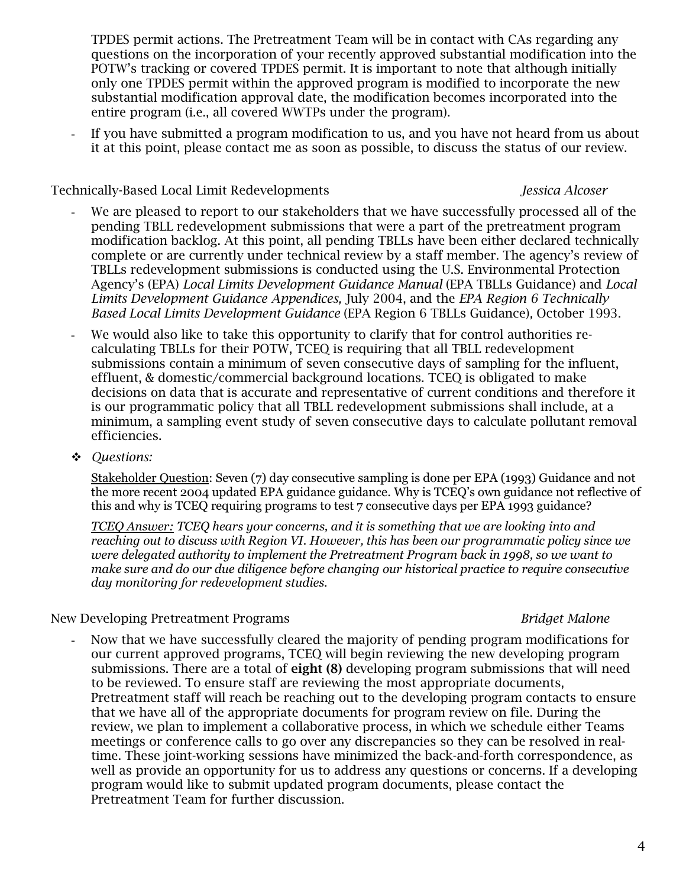TPDES permit actions. The Pretreatment Team will be in contact with CAs regarding any questions on the incorporation of your recently approved substantial modification into the POTW's tracking or covered TPDES permit. It is important to note that although initially only one TPDES permit within the approved program is modified to incorporate the new substantial modification approval date, the modification becomes incorporated into the entire program (i.e., all covered WWTPs under the program).

If you have submitted a program modification to us, and you have not heard from us about it at this point, please contact me as soon as possible, to discuss the status of our review.

# Technically-Based Local Limit Redevelopments *Jessica Alcoser*

- We are pleased to report to our stakeholders that we have successfully processed all of the pending TBLL redevelopment submissions that were a part of the pretreatment program modification backlog. At this point, all pending TBLLs have been either declared technically complete or are currently under technical review by a staff member. The agency's review of TBLLs redevelopment submissions is conducted using the U.S. Environmental Protection Agency's (EPA) *Local Limits Development Guidance Manual* (EPA TBLLs Guidance) and *Local Limits Development Guidance Appendices,* July 2004, and the *EPA Region 6 Technically Based Local Limits Development Guidance* (EPA Region 6 TBLLs Guidance)*,* October 1993.
- We would also like to take this opportunity to clarify that for control authorities recalculating TBLLs for their POTW, TCEQ is requiring that all TBLL redevelopment submissions contain a minimum of seven consecutive days of sampling for the influent, effluent, & domestic/commercial background locations. TCEQ is obligated to make decisions on data that is accurate and representative of current conditions and therefore it is our programmatic policy that all TBLL redevelopment submissions shall include, at a minimum, a sampling event study of seven consecutive days to calculate pollutant removal efficiencies.
- *Questions:*

Stakeholder Question: Seven (7) day consecutive sampling is done per EPA (1993) Guidance and not the more recent 2004 updated EPA guidance guidance. Why is TCEQ's own guidance not reflective of this and why is TCEQ requiring programs to test 7 consecutive days per EPA 1993 guidance?

*TCEQ Answer: TCEQ hears your concerns, and it is something that we are looking into and reaching out to discuss with Region VI. However, this has been our programmatic policy since we were delegated authority to implement the Pretreatment Program back in 1998, so we want to make sure and do our due diligence before changing our historical practice to require consecutive day monitoring for redevelopment studies.* 

# New Developing Pretreatment Programs *Bridget Malone*

- Now that we have successfully cleared the majority of pending program modifications for our current approved programs, TCEQ will begin reviewing the new developing program submissions. There are a total of eight (8) developing program submissions that will need to be reviewed. To ensure staff are reviewing the most appropriate documents, Pretreatment staff will reach be reaching out to the developing program contacts to ensure that we have all of the appropriate documents for program review on file. During the review, we plan to implement a collaborative process, in which we schedule either Teams meetings or conference calls to go over any discrepancies so they can be resolved in realtime. These joint-working sessions have minimized the back-and-forth correspondence, as well as provide an opportunity for us to address any questions or concerns. If a developing program would like to submit updated program documents, please contact the Pretreatment Team for further discussion.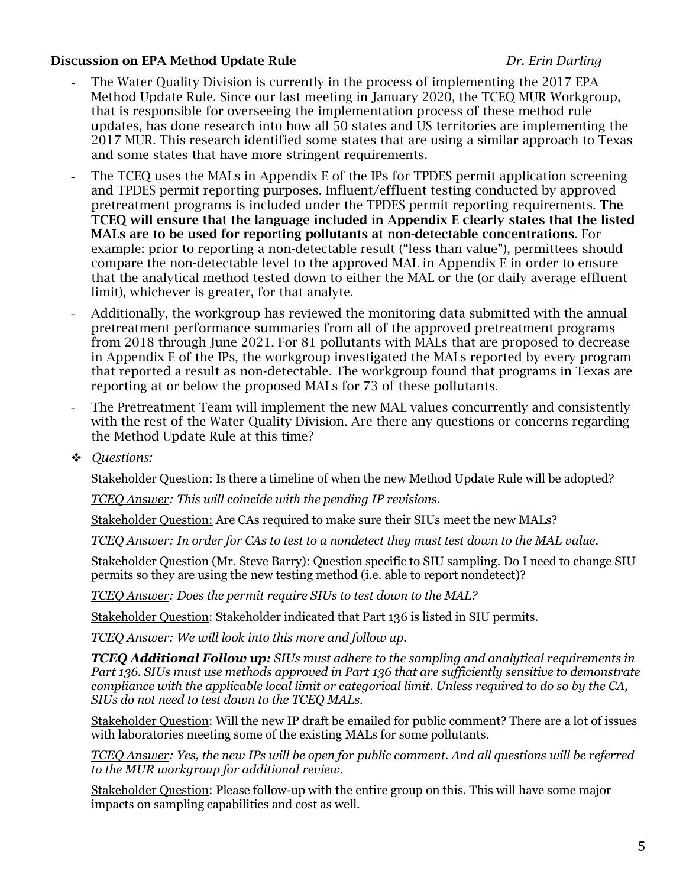## Discussion on EPA Method Update Rule *Dr. Erin Darling*

- The Water Quality Division is currently in the process of implementing the 2017 EPA Method Update Rule. Since our last meeting in January 2020, the TCEQ MUR Workgroup, that is responsible for overseeing the implementation process of these method rule updates, has done research into how all 50 states and US territories are implementing the 2017 MUR. This research identified some states that are using a similar approach to Texas and some states that have more stringent requirements.
- The TCEQ uses the MALs in Appendix E of the IPs for TPDES permit application screening and TPDES permit reporting purposes. Influent/effluent testing conducted by approved pretreatment programs is included under the TPDES permit reporting requirements. The TCEQ will ensure that the language included in Appendix E clearly states that the listed MALs are to be used for reporting pollutants at non-detectable concentrations. For example: prior to reporting a non-detectable result ("less than value"), permittees should compare the non-detectable level to the approved MAL in Appendix E in order to ensure that the analytical method tested down to either the MAL or the (or daily average effluent limit), whichever is greater, for that analyte.
- Additionally, the workgroup has reviewed the monitoring data submitted with the annual pretreatment performance summaries from all of the approved pretreatment programs from 2018 through June 2021. For 81 pollutants with MALs that are proposed to decrease in Appendix E of the IPs, the workgroup investigated the MALs reported by every program that reported a result as non-detectable. The workgroup found that programs in Texas are reporting at or below the proposed MALs for 73 of these pollutants.
- The Pretreatment Team will implement the new MAL values concurrently and consistently with the rest of the Water Quality Division. Are there any questions or concerns regarding the Method Update Rule at this time?
- *Questions:*

Stakeholder Question: Is there a timeline of when the new Method Update Rule will be adopted?

*TCEQ Answer: This will coincide with the pending IP revisions.*

Stakeholder Question: Are CAs required to make sure their SIUs meet the new MALs?

*TCEQ Answer: In order for CAs to test to a nondetect they must test down to the MAL value.* 

Stakeholder Question (Mr. Steve Barry): Question specific to SIU sampling. Do I need to change SIU permits so they are using the new testing method (i.e. able to report nondetect)?

*TCEQ Answer: Does the permit require SIUs to test down to the MAL?* 

Stakeholder Question: Stakeholder indicated that Part 136 is listed in SIU permits.

*TCEQ Answer: We will look into this more and follow up.*

*TCEQ Additional Follow up: SIUs must adhere to the sampling and analytical requirements in Part 136. SIUs must use methods approved in Part 136 that are sufficiently sensitive to demonstrate compliance with the applicable local limit or categorical limit. Unless required to do so by the CA, SIUs do not need to test down to the TCEQ MALs.* 

Stakeholder Question: Will the new IP draft be emailed for public comment? There are a lot of issues with laboratories meeting some of the existing MALs for some pollutants.

*TCEQ Answer: Yes, the new IPs will be open for public comment. And all questions will be referred to the MUR workgroup for additional review.* 

Stakeholder Question: Please follow-up with the entire group on this. This will have some major impacts on sampling capabilities and cost as well.